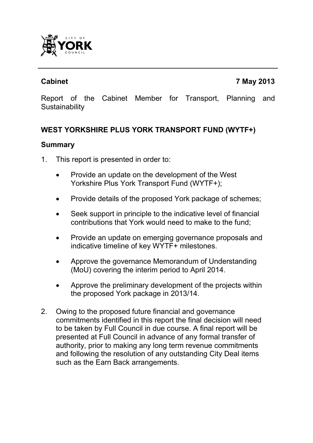

Report of the Cabinet Member for Transport, Planning and **Sustainability** 

## **WEST YORKSHIRE PLUS YORK TRANSPORT FUND (WYTF+)**

#### **Summary**

- 1. This report is presented in order to:
	- Provide an update on the development of the West Yorkshire Plus York Transport Fund (WYTF+);
	- Provide details of the proposed York package of schemes;
	- Seek support in principle to the indicative level of financial contributions that York would need to make to the fund;
	- Provide an update on emerging governance proposals and indicative timeline of key WYTF+ milestones.
	- Approve the governance Memorandum of Understanding (MoU) covering the interim period to April 2014.
	- Approve the preliminary development of the projects within the proposed York package in 2013/14.
- 2. Owing to the proposed future financial and governance commitments identified in this report the final decision will need to be taken by Full Council in due course. A final report will be presented at Full Council in advance of any formal transfer of authority, prior to making any long term revenue commitments and following the resolution of any outstanding City Deal items such as the Earn Back arrangements.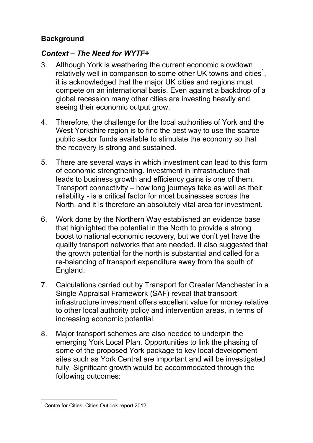## **Background**

## *Context – The Need for WYTF+*

- 3. Although York is weathering the current economic slowdown relatively well in comparison to some other UK towns and cities<sup>1</sup>, it is acknowledged that the major UK cities and regions must compete on an international basis. Even against a backdrop of a global recession many other cities are investing heavily and seeing their economic output grow.
- 4. Therefore, the challenge for the local authorities of York and the West Yorkshire region is to find the best way to use the scarce public sector funds available to stimulate the economy so that the recovery is strong and sustained.
- 5. There are several ways in which investment can lead to this form of economic strengthening. Investment in infrastructure that leads to business growth and efficiency gains is one of them. Transport connectivity – how long journeys take as well as their reliability - is a critical factor for most businesses across the North, and it is therefore an absolutely vital area for investment.
- 6. Work done by the Northern Way established an evidence base that highlighted the potential in the North to provide a strong boost to national economic recovery, but we don't yet have the quality transport networks that are needed. It also suggested that the growth potential for the north is substantial and called for a re-balancing of transport expenditure away from the south of England.
- 7. Calculations carried out by Transport for Greater Manchester in a Single Appraisal Framework (SAF) reveal that transport infrastructure investment offers excellent value for money relative to other local authority policy and intervention areas, in terms of increasing economic potential.
- 8. Major transport schemes are also needed to underpin the emerging York Local Plan. Opportunities to link the phasing of some of the proposed York package to key local development sites such as York Central are important and will be investigated fully. Significant growth would be accommodated through the following outcomes:

 $\overline{\phantom{a}}$ <sup>1</sup> Centre for Cities, Cities Outlook report 2012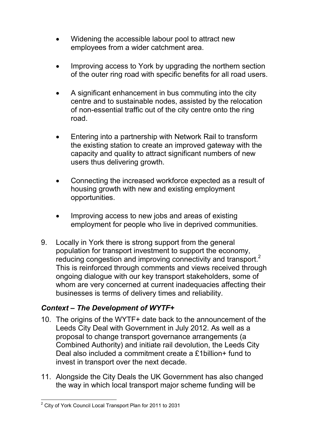- Widening the accessible labour pool to attract new employees from a wider catchment area.
- Improving access to York by upgrading the northern section of the outer ring road with specific benefits for all road users.
- A significant enhancement in bus commuting into the city centre and to sustainable nodes, assisted by the relocation of non-essential traffic out of the city centre onto the ring road.
- Entering into a partnership with Network Rail to transform the existing station to create an improved gateway with the capacity and quality to attract significant numbers of new users thus delivering growth.
- Connecting the increased workforce expected as a result of housing growth with new and existing employment opportunities.
- Improving access to new jobs and areas of existing employment for people who live in deprived communities.
- 9. Locally in York there is strong support from the general population for transport investment to support the economy, reducing congestion and improving connectivity and transport.<sup>2</sup> This is reinforced through comments and views received through ongoing dialogue with our key transport stakeholders, some of whom are very concerned at current inadequacies affecting their businesses is terms of delivery times and reliability.

## *Context – The Development of WYTF+*

- 10. The origins of the WYTF+ date back to the announcement of the Leeds City Deal with Government in July 2012. As well as a proposal to change transport governance arrangements (a Combined Authority) and initiate rail devolution, the Leeds City Deal also included a commitment create a £1billion+ fund to invest in transport over the next decade.
- 11. Alongside the City Deals the UK Government has also changed the way in which local transport major scheme funding will be

 2 City of York Council Local Transport Plan for 2011 to 2031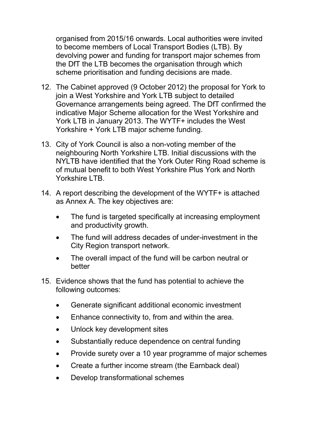organised from 2015/16 onwards. Local authorities were invited to become members of Local Transport Bodies (LTB). By devolving power and funding for transport major schemes from the DfT the LTB becomes the organisation through which scheme prioritisation and funding decisions are made.

- 12. The Cabinet approved (9 October 2012) the proposal for York to join a West Yorkshire and York LTB subject to detailed Governance arrangements being agreed. The DfT confirmed the indicative Major Scheme allocation for the West Yorkshire and York LTB in January 2013. The WYTF+ includes the West Yorkshire + York LTB major scheme funding.
- 13. City of York Council is also a non-voting member of the neighbouring North Yorkshire LTB. Initial discussions with the NYLTB have identified that the York Outer Ring Road scheme is of mutual benefit to both West Yorkshire Plus York and North Yorkshire LTB
- 14. A report describing the development of the WYTF+ is attached as Annex A. The key objectives are:
	- The fund is targeted specifically at increasing employment and productivity growth.
	- The fund will address decades of under-investment in the City Region transport network.
	- The overall impact of the fund will be carbon neutral or better
- 15. Evidence shows that the fund has potential to achieve the following outcomes:
	- Generate significant additional economic investment
	- Enhance connectivity to, from and within the area.
	- Unlock key development sites
	- Substantially reduce dependence on central funding
	- Provide surety over a 10 year programme of major schemes
	- Create a further income stream (the Earnback deal)
	- Develop transformational schemes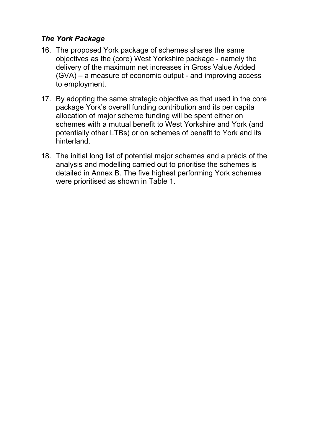## *The York Package*

- 16. The proposed York package of schemes shares the same objectives as the (core) West Yorkshire package - namely the delivery of the maximum net increases in Gross Value Added (GVA) – a measure of economic output - and improving access to employment.
- 17. By adopting the same strategic objective as that used in the core package York's overall funding contribution and its per capita allocation of major scheme funding will be spent either on schemes with a mutual benefit to West Yorkshire and York (and potentially other LTBs) or on schemes of benefit to York and its hinterland.
- 18. The initial long list of potential major schemes and a précis of the analysis and modelling carried out to prioritise the schemes is detailed in Annex B. The five highest performing York schemes were prioritised as shown in Table 1.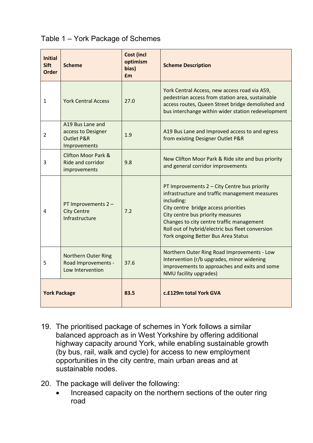## Table 1 – York Package of Schemes

| <b>Initial</b><br><b>Sift</b><br><b>Order</b> | <b>Scheme</b>                                                                   | <b>Cost (incl</b><br>optimism<br>bias)<br><b>f</b> m | <b>Scheme Description</b>                                                                                                                                                                                                                                                                                                         |  |
|-----------------------------------------------|---------------------------------------------------------------------------------|------------------------------------------------------|-----------------------------------------------------------------------------------------------------------------------------------------------------------------------------------------------------------------------------------------------------------------------------------------------------------------------------------|--|
| 1                                             | <b>York Central Access</b>                                                      | 27.0                                                 | York Central Access, new access road via A59,<br>pedestrian access from station area, sustainable<br>access routes, Queen Street bridge demolished and<br>bus interchange within wider station redevelopment                                                                                                                      |  |
| $\overline{2}$                                | A19 Bus Lane and<br>access to Designer<br><b>Outlet P&amp;R</b><br>Improvements | 1.9                                                  | A19 Bus Lane and Improved access to and egress<br>from existing Designer Outlet P&R                                                                                                                                                                                                                                               |  |
| 3                                             | <b>Clifton Moor Park &amp;</b><br>Ride and corridor<br>improvements             | 9.8                                                  | New Clifton Moor Park & Ride site and bus priority<br>and general corridor improvements                                                                                                                                                                                                                                           |  |
| 4                                             | PT Improvements 2 -<br><b>City Centre</b><br>Infrastructure                     | 7.2                                                  | PT Improvements 2 - City Centre bus priority<br>infrastructure and traffic management measures<br>including:<br>City centre bridge access priorities<br>City centre bus priority measures<br>Changes to city centre traffic management<br>Roll out of hybrid/electric bus fleet conversion<br>York ongoing Better Bus Area Status |  |
| 5                                             | <b>Northern Outer Ring</b><br>Road Improvements -<br>Low Intervention           | 37.6                                                 | Northern Outer Ring Road Improvements - Low<br>Intervention (r/b upgrades, minor widening<br>improvements to approaches and exits and some<br>NMU facility upgrades)                                                                                                                                                              |  |
| <b>York Package</b>                           |                                                                                 | 83.5                                                 | c.£129m total York GVA                                                                                                                                                                                                                                                                                                            |  |

- 19. The prioritised package of schemes in York follows a similar balanced approach as in West Yorkshire by offering additional highway capacity around York, while enabling sustainable growth (by bus, rail, walk and cycle) for access to new employment opportunities in the city centre, main urban areas and at sustainable nodes.
- 20. The package will deliver the following:
	- Increased capacity on the northern sections of the outer ring road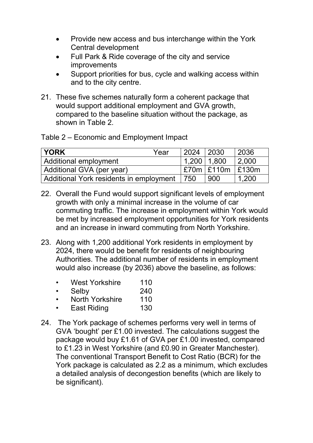- Provide new access and bus interchange within the York Central development
- Full Park & Ride coverage of the city and service improvements
- Support priorities for bus, cycle and walking access within and to the city centre.
- 21. These five schemes naturally form a coherent package that would support additional employment and GVA growth, compared to the baseline situation without the package, as shown in Table 2.

Table 2 – Economic and Employment Impact

| YORK                                    | Year | 2024              | 2030           | 2036  |
|-----------------------------------------|------|-------------------|----------------|-------|
| Additional employment                   |      | $1,200$   $1,800$ |                | 2,000 |
| Additional GVA (per year)               |      |                   | $E70m$ $E110m$ | E130m |
| Additional York residents in employment |      | 750               | 900            | 1.200 |

- 22. Overall the Fund would support significant levels of employment growth with only a minimal increase in the volume of car commuting traffic. The increase in employment within York would be met by increased employment opportunities for York residents and an increase in inward commuting from North Yorkshire.
- 23. Along with 1,200 additional York residents in employment by 2024, there would be benefit for residents of neighbouring Authorities. The additional number of residents in employment would also increase (by 2036) above the baseline, as follows:
	- West Yorkshire 110
	- Selby 240
	- North Yorkshire 110
	- East Riding 130
- 24. The York package of schemes performs very well in terms of GVA 'bought' per £1.00 invested. The calculations suggest the package would buy £1.61 of GVA per £1.00 invested, compared to £1.23 in West Yorkshire (and £0.90 in Greater Manchester). The conventional Transport Benefit to Cost Ratio (BCR) for the York package is calculated as 2.2 as a minimum, which excludes a detailed analysis of decongestion benefits (which are likely to be significant).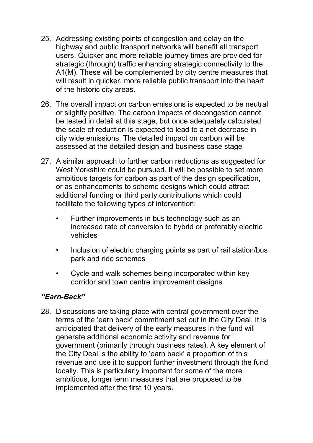- 25. Addressing existing points of congestion and delay on the highway and public transport networks will benefit all transport users. Quicker and more reliable journey times are provided for strategic (through) traffic enhancing strategic connectivity to the A1(M). These will be complemented by city centre measures that will result in quicker, more reliable public transport into the heart of the historic city areas.
- 26. The overall impact on carbon emissions is expected to be neutral or slightly positive. The carbon impacts of decongestion cannot be tested in detail at this stage, but once adequately calculated the scale of reduction is expected to lead to a net decrease in city wide emissions. The detailed impact on carbon will be assessed at the detailed design and business case stage
- 27. A similar approach to further carbon reductions as suggested for West Yorkshire could be pursued. It will be possible to set more ambitious targets for carbon as part of the design specification, or as enhancements to scheme designs which could attract additional funding or third party contributions which could facilitate the following types of intervention:
	- Further improvements in bus technology such as an increased rate of conversion to hybrid or preferably electric vehicles
	- Inclusion of electric charging points as part of rail station/bus park and ride schemes
	- Cycle and walk schemes being incorporated within key corridor and town centre improvement designs

#### *"Earn-Back"*

28. Discussions are taking place with central government over the terms of the 'earn back' commitment set out in the City Deal. It is anticipated that delivery of the early measures in the fund will generate additional economic activity and revenue for government (primarily through business rates). A key element of the City Deal is the ability to 'earn back' a proportion of this revenue and use it to support further investment through the fund locally. This is particularly important for some of the more ambitious, longer term measures that are proposed to be implemented after the first 10 years.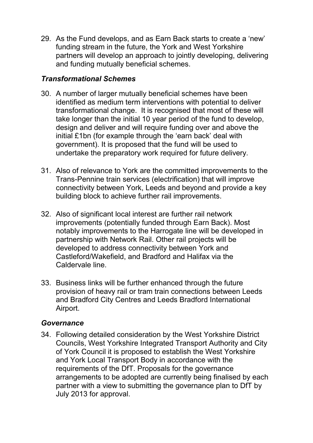29. As the Fund develops, and as Earn Back starts to create a 'new' funding stream in the future, the York and West Yorkshire partners will develop an approach to jointly developing, delivering and funding mutually beneficial schemes.

## *Transformational Schemes*

- 30. A number of larger mutually beneficial schemes have been identified as medium term interventions with potential to deliver transformational change. It is recognised that most of these will take longer than the initial 10 year period of the fund to develop, design and deliver and will require funding over and above the initial £1bn (for example through the 'earn back' deal with government). It is proposed that the fund will be used to undertake the preparatory work required for future delivery.
- 31. Also of relevance to York are the committed improvements to the Trans-Pennine train services (electrification) that will improve connectivity between York, Leeds and beyond and provide a key building block to achieve further rail improvements.
- 32. Also of significant local interest are further rail network improvements (potentially funded through Earn Back). Most notably improvements to the Harrogate line will be developed in partnership with Network Rail. Other rail projects will be developed to address connectivity between York and Castleford/Wakefield, and Bradford and Halifax via the Caldervale line.
- 33. Business links will be further enhanced through the future provision of heavy rail or tram train connections between Leeds and Bradford City Centres and Leeds Bradford International Airport.

#### *Governance*

34. Following detailed consideration by the West Yorkshire District Councils, West Yorkshire Integrated Transport Authority and City of York Council it is proposed to establish the West Yorkshire and York Local Transport Body in accordance with the requirements of the DfT. Proposals for the governance arrangements to be adopted are currently being finalised by each partner with a view to submitting the governance plan to DfT by July 2013 for approval.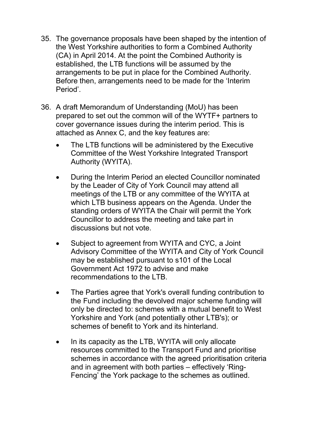- 35. The governance proposals have been shaped by the intention of the West Yorkshire authorities to form a Combined Authority (CA) in April 2014. At the point the Combined Authority is established, the LTB functions will be assumed by the arrangements to be put in place for the Combined Authority. Before then, arrangements need to be made for the 'Interim Period'.
- 36. A draft Memorandum of Understanding (MoU) has been prepared to set out the common will of the WYTF+ partners to cover governance issues during the interim period. This is attached as Annex C, and the key features are:
	- The LTB functions will be administered by the Executive Committee of the West Yorkshire Integrated Transport Authority (WYITA).
	- During the Interim Period an elected Councillor nominated by the Leader of City of York Council may attend all meetings of the LTB or any committee of the WYITA at which LTB business appears on the Agenda. Under the standing orders of WYITA the Chair will permit the York Councillor to address the meeting and take part in discussions but not vote.
	- Subject to agreement from WYITA and CYC, a Joint Advisory Committee of the WYITA and City of York Council may be established pursuant to s101 of the Local Government Act 1972 to advise and make recommendations to the LTB.
	- The Parties agree that York's overall funding contribution to the Fund including the devolved major scheme funding will only be directed to: schemes with a mutual benefit to West Yorkshire and York (and potentially other LTB's); or schemes of benefit to York and its hinterland.
	- In its capacity as the LTB, WYITA will only allocate resources committed to the Transport Fund and prioritise schemes in accordance with the agreed prioritisation criteria and in agreement with both parties – effectively 'Ring-Fencing' the York package to the schemes as outlined.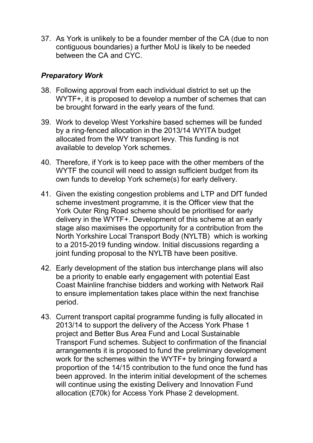37. As York is unlikely to be a founder member of the CA (due to non contiguous boundaries) a further MoU is likely to be needed between the CA and CYC.

## *Preparatory Work*

- 38. Following approval from each individual district to set up the WYTF+, it is proposed to develop a number of schemes that can be brought forward in the early years of the fund.
- 39. Work to develop West Yorkshire based schemes will be funded by a ring-fenced allocation in the 2013/14 WYITA budget allocated from the WY transport levy. This funding is not available to develop York schemes.
- 40. Therefore, if York is to keep pace with the other members of the WYTF the council will need to assign sufficient budget from its own funds to develop York scheme(s) for early delivery.
- 41. Given the existing congestion problems and LTP and DfT funded scheme investment programme, it is the Officer view that the York Outer Ring Road scheme should be prioritised for early delivery in the WYTF+. Development of this scheme at an early stage also maximises the opportunity for a contribution from the North Yorkshire Local Transport Body (NYLTB) which is working to a 2015-2019 funding window. Initial discussions regarding a joint funding proposal to the NYLTB have been positive.
- 42. Early development of the station bus interchange plans will also be a priority to enable early engagement with potential East Coast Mainline franchise bidders and working with Network Rail to ensure implementation takes place within the next franchise period.
- 43. Current transport capital programme funding is fully allocated in 2013/14 to support the delivery of the Access York Phase 1 project and Better Bus Area Fund and Local Sustainable Transport Fund schemes. Subject to confirmation of the financial arrangements it is proposed to fund the preliminary development work for the schemes within the WYTF+ by bringing forward a proportion of the 14/15 contribution to the fund once the fund has been approved. In the interim initial development of the schemes will continue using the existing Delivery and Innovation Fund allocation (£70k) for Access York Phase 2 development.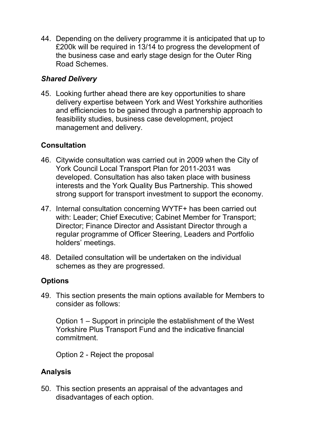44. Depending on the delivery programme it is anticipated that up to £200k will be required in 13/14 to progress the development of the business case and early stage design for the Outer Ring Road Schemes.

## *Shared Delivery*

45. Looking further ahead there are key opportunities to share delivery expertise between York and West Yorkshire authorities and efficiencies to be gained through a partnership approach to feasibility studies, business case development, project management and delivery.

## **Consultation**

- 46. Citywide consultation was carried out in 2009 when the City of York Council Local Transport Plan for 2011-2031 was developed. Consultation has also taken place with business interests and the York Quality Bus Partnership. This showed strong support for transport investment to support the economy.
- 47. Internal consultation concerning WYTF+ has been carried out with: Leader; Chief Executive; Cabinet Member for Transport; Director; Finance Director and Assistant Director through a regular programme of Officer Steering, Leaders and Portfolio holders' meetings.
- 48. Detailed consultation will be undertaken on the individual schemes as they are progressed.

#### **Options**

49. This section presents the main options available for Members to consider as follows:

Option 1 – Support in principle the establishment of the West Yorkshire Plus Transport Fund and the indicative financial commitment.

Option 2 - Reject the proposal

## **Analysis**

50. This section presents an appraisal of the advantages and disadvantages of each option.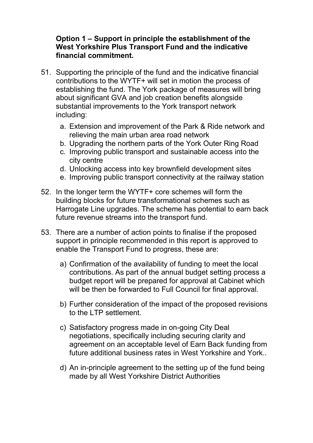#### **Option 1 – Support in principle the establishment of the West Yorkshire Plus Transport Fund and the indicative financial commitment.**

- 51. Supporting the principle of the fund and the indicative financial contributions to the WYTF+ will set in motion the process of establishing the fund. The York package of measures will bring about significant GVA and job creation benefits alongside substantial improvements to the York transport network including:
	- a. Extension and improvement of the Park & Ride network and relieving the main urban area road network
	- b. Upgrading the northern parts of the York Outer Ring Road
	- c. Improving public transport and sustainable access into the city centre
	- d. Unlocking access into key brownfield development sites
	- e. Improving public transport connectivity at the railway station
- 52. In the longer term the WYTF+ core schemes will form the building blocks for future transformational schemes such as Harrogate Line upgrades. The scheme has potential to earn back future revenue streams into the transport fund.
- 53. There are a number of action points to finalise if the proposed support in principle recommended in this report is approved to enable the Transport Fund to progress, these are:
	- a) Confirmation of the availability of funding to meet the local contributions. As part of the annual budget setting process a budget report will be prepared for approval at Cabinet which will be then be forwarded to Full Council for final approval.
	- b) Further consideration of the impact of the proposed revisions to the LTP settlement.
	- c) Satisfactory progress made in on-going City Deal negotiations, specifically including securing clarity and agreement on an acceptable level of Earn Back funding from future additional business rates in West Yorkshire and York..
	- d) An in-principle agreement to the setting up of the fund being made by all West Yorkshire District Authorities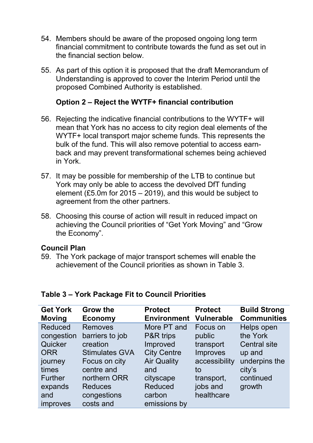- 54. Members should be aware of the proposed ongoing long term financial commitment to contribute towards the fund as set out in the financial section below.
- 55. As part of this option it is proposed that the draft Memorandum of Understanding is approved to cover the Interim Period until the proposed Combined Authority is established.

#### **Option 2 – Reject the WYTF+ financial contribution**

- 56. Rejecting the indicative financial contributions to the WYTF+ will mean that York has no access to city region deal elements of the WYTF+ local transport major scheme funds. This represents the bulk of the fund. This will also remove potential to access earnback and may prevent transformational schemes being achieved in York.
- 57. It may be possible for membership of the LTB to continue but York may only be able to access the devolved DfT funding element (£5.0m for 2015 – 2019), and this would be subject to agreement from the other partners.
- 58. Choosing this course of action will result in reduced impact on achieving the Council priorities of "Get York Moving" and "Grow the Economy".

#### **Council Plan**

59. The York package of major transport schemes will enable the achievement of the Council priorities as shown in Table 3.

| <b>Get York</b><br><b>Moving</b> | <b>Grow the</b><br><b>Economy</b> | <b>Protect</b><br><b>Environment</b> | <b>Protect</b><br><b>Vulnerable</b> | <b>Build Strong</b><br><b>Communities</b> |
|----------------------------------|-----------------------------------|--------------------------------------|-------------------------------------|-------------------------------------------|
| <b>Reduced</b>                   | <b>Removes</b>                    | More PT and                          | Focus on                            | Helps open                                |
| congestion                       | barriers to job                   | <b>P&amp;R</b> trips                 | public                              | the York                                  |
| Quicker                          | creation                          | Improved                             | transport                           | <b>Central site</b>                       |
| <b>ORR</b>                       | <b>Stimulates GVA</b>             | <b>City Centre</b>                   | Improves                            | up and                                    |
| journey                          | Focus on city                     | <b>Air Quality</b>                   | accessibility                       | underpins the                             |
| times                            | centre and                        | and                                  | to                                  | city's                                    |
| <b>Further</b>                   | northern ORR                      | cityscape                            | transport,                          | continued                                 |
| expands                          | <b>Reduces</b>                    | <b>Reduced</b>                       | jobs and                            | growth                                    |
| and                              | congestions                       | carbon                               | healthcare                          |                                           |
| <i>improves</i>                  | costs and                         | emissions by                         |                                     |                                           |

#### **Table 3 – York Package Fit to Council Priorities**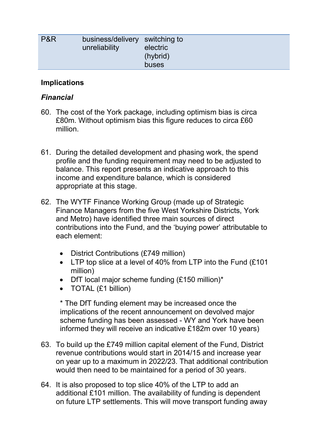| buses | P&R | business/delivery switching to<br>unreliability | electric<br>(hybrid) |
|-------|-----|-------------------------------------------------|----------------------|
|-------|-----|-------------------------------------------------|----------------------|

#### **Implications**

## *Financial*

- 60. The cost of the York package, including optimism bias is circa £80m. Without optimism bias this figure reduces to circa £60 million.
- 61. During the detailed development and phasing work, the spend profile and the funding requirement may need to be adjusted to balance. This report presents an indicative approach to this income and expenditure balance, which is considered appropriate at this stage.
- 62. The WYTF Finance Working Group (made up of Strategic Finance Managers from the five West Yorkshire Districts, York and Metro) have identified three main sources of direct contributions into the Fund, and the 'buying power' attributable to each element:
	- District Contributions (£749 million)
	- LTP top slice at a level of 40% from LTP into the Fund (£101 million)
	- DfT local major scheme funding (£150 million)\*
	- TOTAL (£1 billion)

\* The DfT funding element may be increased once the implications of the recent announcement on devolved major scheme funding has been assessed - WY and York have been informed they will receive an indicative £182m over 10 years)

- 63. To build up the £749 million capital element of the Fund, District revenue contributions would start in 2014/15 and increase year on year up to a maximum in 2022/23. That additional contribution would then need to be maintained for a period of 30 years.
- 64. It is also proposed to top slice 40% of the LTP to add an additional £101 million. The availability of funding is dependent on future LTP settlements. This will move transport funding away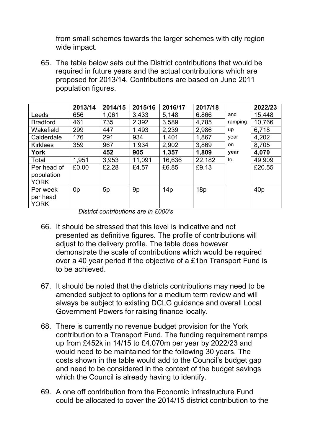from small schemes towards the larger schemes with city region wide impact.

65. The table below sets out the District contributions that would be required in future years and the actual contributions which are proposed for 2013/14. Contributions are based on June 2011 population figures.

|                                          | 2013/14        | 2014/15 | 2015/16 | 2016/17 | 2017/18 |         | 2022/23 |
|------------------------------------------|----------------|---------|---------|---------|---------|---------|---------|
| Leeds                                    | 656            | 1,061   | 3,433   | 5,148   | 6.866   | and     | 15,448  |
| <b>Bradford</b>                          | 461            | 735     | 2,392   | 3,589   | 4,785   | ramping | 10,766  |
| Wakefield                                | 299            | 447     | 1,493   | 2,239   | 2,986   | up      | 6,718   |
| Calderdale                               | 176            | 291     | 934     | 1,401   | 1,867   | year    | 4,202   |
| <b>Kirklees</b>                          | 359            | 967     | 1,934   | 2,902   | 3,869   | on.     | 8,705   |
| <b>York</b>                              |                | 452     | 905     | 1,357   | 1,809   | year    | 4,070   |
| Total                                    | 1,951          | 3,953   | 11,091  | 16,636  | 22,182  | to      | 49,909  |
| Per head of<br>population<br><b>YORK</b> | £0.00          | £2.28   | £4.57   | £6.85   | £9.13   |         | £20.55  |
| Per week<br>per head<br><b>YORK</b>      | 0 <sub>p</sub> | 5p      | 9p      | 14p     | 18p     |         | 40p     |

*District contributions are in £000's* 

- 66. It should be stressed that this level is indicative and not presented as definitive figures. The profile of contributions will adjust to the delivery profile. The table does however demonstrate the scale of contributions which would be required over a 40 year period if the objective of a £1bn Transport Fund is to be achieved.
- 67. It should be noted that the districts contributions may need to be amended subject to options for a medium term review and will always be subject to existing DCLG guidance and overall Local Government Powers for raising finance locally.
- 68. There is currently no revenue budget provision for the York contribution to a Transport Fund. The funding requirement ramps up from £452k in 14/15 to £4.070m per year by 2022/23 and would need to be maintained for the following 30 years. The costs shown in the table would add to the Council's budget gap and need to be considered in the context of the budget savings which the Council is already having to identify.
- 69. A one off contribution from the Economic Infrastructure Fund could be allocated to cover the 2014/15 district contribution to the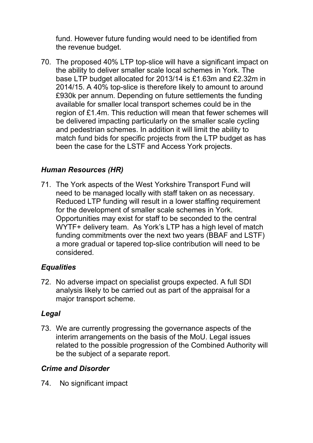fund. However future funding would need to be identified from the revenue budget.

70. The proposed 40% LTP top-slice will have a significant impact on the ability to deliver smaller scale local schemes in York. The base LTP budget allocated for 2013/14 is £1.63m and £2.32m in 2014/15. A 40% top-slice is therefore likely to amount to around £930k per annum. Depending on future settlements the funding available for smaller local transport schemes could be in the region of £1.4m. This reduction will mean that fewer schemes will be delivered impacting particularly on the smaller scale cycling and pedestrian schemes. In addition it will limit the ability to match fund bids for specific projects from the LTP budget as has been the case for the LSTF and Access York projects.

## *Human Resources (HR)*

71. The York aspects of the West Yorkshire Transport Fund will need to be managed locally with staff taken on as necessary. Reduced LTP funding will result in a lower staffing requirement for the development of smaller scale schemes in York. Opportunities may exist for staff to be seconded to the central WYTF+ delivery team. As York's LTP has a high level of match funding commitments over the next two years (BBAF and LSTF) a more gradual or tapered top-slice contribution will need to be considered.

#### *Equalities*

72. No adverse impact on specialist groups expected. A full SDI analysis likely to be carried out as part of the appraisal for a major transport scheme.

#### *Legal*

73. We are currently progressing the governance aspects of the interim arrangements on the basis of the MoU. Legal issues related to the possible progression of the Combined Authority will be the subject of a separate report.

#### *Crime and Disorder*

74. No significant impact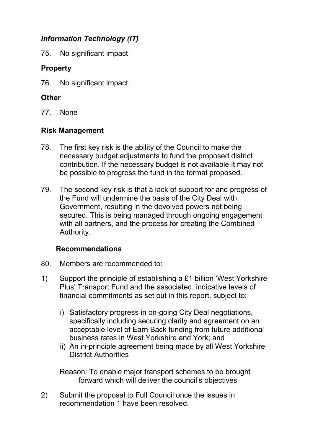# *Information Technology (IT)*

75. No significant impact

## **Property**

76. No significant impact

## **Other**

77. None

## **Risk Management**

- 78. The first key risk is the ability of the Council to make the necessary budget adjustments to fund the proposed district contribution. If the necessary budget is not available it may not be possible to progress the fund in the format proposed.
- 79. The second key risk is that a lack of support for and progress of the Fund will undermine the basis of the City Deal with Government, resulting in the devolved powers not being secured. This is being managed through ongoing engagement with all partners, and the process for creating the Combined Authority.

## **Recommendations**

- 80. Members are recommended to:
- 1) Support the principle of establishing a £1 billion 'West Yorkshire Plus' Transport Fund and the associated, indicative levels of financial commitments as set out in this report, subject to:
	- i) Satisfactory progress in on-going City Deal negotiations, specifically including securing clarity and agreement on an acceptable level of Earn Back funding from future additional business rates in West Yorkshire and York; and
	- ii) An in-principle agreement being made by all West Yorkshire District Authorities

Reason: To enable major transport schemes to be brought forward which will deliver the council's objectives

2) Submit the proposal to Full Council once the issues in recommendation 1 have been resolved.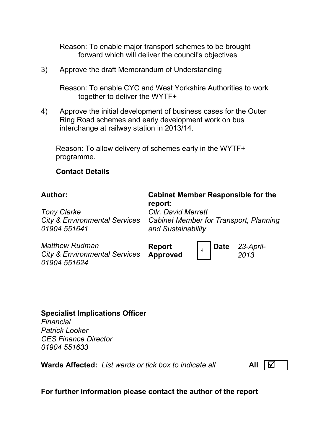Reason: To enable major transport schemes to be brought forward which will deliver the council's objectives

3) Approve the draft Memorandum of Understanding

Reason: To enable CYC and West Yorkshire Authorities to work together to deliver the WYTF+

4) Approve the initial development of business cases for the Outer Ring Road schemes and early development work on bus interchange at railway station in 2013/14.

Reason: To allow delivery of schemes early in the WYTF+ programme.

#### **Contact Details**

#### **Author: Cabinet Member Responsible for the report:**  *Cllr. David Merrett*

*Tony Clarke City & Environmental Services 01904 551641* 

*Cabinet Member for Transport, Planning and Sustainability* 

*Matthew Rudman City & Environmental Services 01904 551624* 

**Report** 

**Approved** *<sup>√</sup>***Date** *23-April-2013* 

#### **Specialist Implications Officer** *Financial Patrick Looker CES Finance Director 01904 551633*

**Wards Affected:** List wards or tick box to indicate all **All All All** 

**For further information please contact the author of the report**